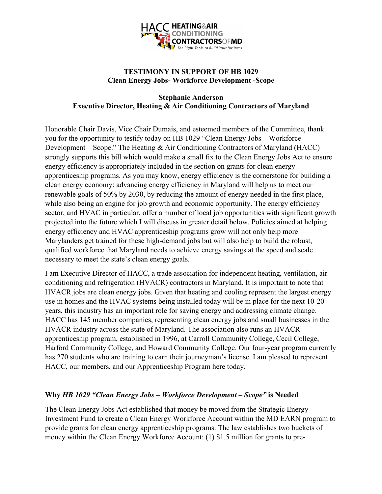

# **TESTIMONY IN SUPPORT OF HB 1029 Clean Energy Jobs- Workforce Development -Scope**

## **Stephanie Anderson Executive Director, Heating & Air Conditioning Contractors of Maryland**

Honorable Chair Davis, Vice Chair Dumais, and esteemed members of the Committee, thank you for the opportunity to testify today on HB 1029 "Clean Energy Jobs – Workforce Development – Scope." The Heating & Air Conditioning Contractors of Maryland (HACC) strongly supports this bill which would make a small fix to the Clean Energy Jobs Act to ensure energy efficiency is appropriately included in the section on grants for clean energy apprenticeship programs. As you may know, energy efficiency is the cornerstone for building a clean energy economy: advancing energy efficiency in Maryland will help us to meet our renewable goals of 50% by 2030, by reducing the amount of energy needed in the first place, while also being an engine for job growth and economic opportunity. The energy efficiency sector, and HVAC in particular, offer a number of local job opportunities with significant growth projected into the future which I will discuss in greater detail below. Policies aimed at helping energy efficiency and HVAC apprenticeship programs grow will not only help more Marylanders get trained for these high-demand jobs but will also help to build the robust, qualified workforce that Maryland needs to achieve energy savings at the speed and scale necessary to meet the state's clean energy goals.

I am Executive Director of HACC, a trade association for independent heating, ventilation, air conditioning and refrigeration (HVACR) contractors in Maryland. It is important to note that HVACR jobs are clean energy jobs. Given that heating and cooling represent the largest energy use in homes and the HVAC systems being installed today will be in place for the next 10-20 years, this industry has an important role for saving energy and addressing climate change. HACC has 145 member companies, representing clean energy jobs and small businesses in the HVACR industry across the state of Maryland. The association also runs an HVACR apprenticeship program, established in 1996, at Carroll Community College, Cecil College, Harford Community College, and Howard Community College. Our four-year program currently has 270 students who are training to earn their journeyman's license. I am pleased to represent HACC, our members, and our Apprenticeship Program here today.

## **Why** *HB 1029 "Clean Energy Jobs – Workforce Development – Scope"* **is Needed**

The Clean Energy Jobs Act established that money be moved from the Strategic Energy Investment Fund to create a Clean Energy Workforce Account within the MD EARN program to provide grants for clean energy apprenticeship programs. The law establishes two buckets of money within the Clean Energy Workforce Account: (1) \$1.5 million for grants to pre-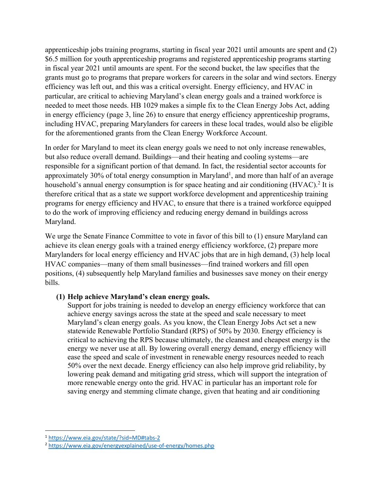apprenticeship jobs training programs, starting in fiscal year 2021 until amounts are spent and (2) \$6.5 million for youth apprenticeship programs and registered apprenticeship programs starting in fiscal year 2021 until amounts are spent. For the second bucket, the law specifies that the grants must go to programs that prepare workers for careers in the solar and wind sectors. Energy efficiency was left out, and this was a critical oversight. Energy efficiency, and HVAC in particular, are critical to achieving Maryland's clean energy goals and a trained workforce is needed to meet those needs. HB 1029 makes a simple fix to the Clean Energy Jobs Act, adding in energy efficiency (page 3, line 26) to ensure that energy efficiency apprenticeship programs, including HVAC, preparing Marylanders for careers in these local trades, would also be eligible for the aforementioned grants from the Clean Energy Workforce Account.

In order for Maryland to meet its clean energy goals we need to not only increase renewables, but also reduce overall demand. Buildings—and their heating and cooling systems—are responsible for a significant portion of that demand. In fact, the residential sector accounts for approximately 30% of total energy consumption in Maryland<sup>1</sup>, and more than half of an average household's annual energy consumption is for space heating and air conditioning (HVAC).<sup>2</sup> It is therefore critical that as a state we support workforce development and apprenticeship training programs for energy efficiency and HVAC, to ensure that there is a trained workforce equipped to do the work of improving efficiency and reducing energy demand in buildings across Maryland.

We urge the Senate Finance Committee to vote in favor of this bill to (1) ensure Maryland can achieve its clean energy goals with a trained energy efficiency workforce, (2) prepare more Marylanders for local energy efficiency and HVAC jobs that are in high demand, (3) help local HVAC companies—many of them small businesses—find trained workers and fill open positions, (4) subsequently help Maryland families and businesses save money on their energy bills.

## **(1) Help achieve Maryland's clean energy goals.**

Support for jobs training is needed to develop an energy efficiency workforce that can achieve energy savings across the state at the speed and scale necessary to meet Maryland's clean energy goals. As you know, the Clean Energy Jobs Act set a new statewide Renewable Portfolio Standard (RPS) of 50% by 2030. Energy efficiency is critical to achieving the RPS because ultimately, the cleanest and cheapest energy is the energy we never use at all. By lowering overall energy demand, energy efficiency will ease the speed and scale of investment in renewable energy resources needed to reach 50% over the next decade. Energy efficiency can also help improve grid reliability, by lowering peak demand and mitigating grid stress, which will support the integration of more renewable energy onto the grid. HVAC in particular has an important role for saving energy and stemming climate change, given that heating and air conditioning

<sup>1</sup> https://www.eia.gov/state/?sid=MD#tabs-2

<sup>2</sup> https://www.eia.gov/energyexplained/use-of-energy/homes.php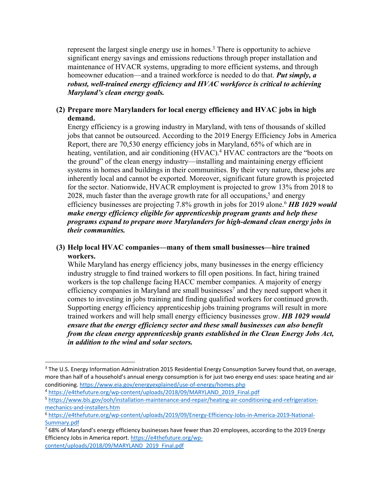represent the largest single energy use in homes.<sup>3</sup> There is opportunity to achieve significant energy savings and emissions reductions through proper installation and maintenance of HVACR systems, upgrading to more efficient systems, and through homeowner education—and a trained workforce is needed to do that. *Put simply, a robust, well-trained energy efficiency and HVAC workforce is critical to achieving Maryland's clean energy goals.* 

### **(2) Prepare more Marylanders for local energy efficiency and HVAC jobs in high demand.**

Energy efficiency is a growing industry in Maryland, with tens of thousands of skilled jobs that cannot be outsourced. According to the 2019 Energy Efficiency Jobs in America Report, there are 70,530 energy efficiency jobs in Maryland, 65% of which are in heating, ventilation, and air conditioning (HVAC).<sup>4</sup> HVAC contractors are the "boots on the ground" of the clean energy industry—installing and maintaining energy efficient systems in homes and buildings in their communities. By their very nature, these jobs are inherently local and cannot be exported. Moreover, significant future growth is projected for the sector. Nationwide, HVACR employment is projected to grow 13% from 2018 to 2028, much faster than the average growth rate for all occupations,<sup>5</sup> and energy efficiency businesses are projecting 7.8% growth in jobs for 2019 alone.6 *HB 1029 would make energy efficiency eligible for apprenticeship program grants and help these programs expand to prepare more Marylanders for high-demand clean energy jobs in their communities.*

## **(3) Help local HVAC companies—many of them small businesses—hire trained workers.**

While Maryland has energy efficiency jobs, many businesses in the energy efficiency industry struggle to find trained workers to fill open positions. In fact, hiring trained workers is the top challenge facing HACC member companies. A majority of energy efficiency companies in Maryland are small businesses<sup>7</sup> and they need support when it comes to investing in jobs training and finding qualified workers for continued growth. Supporting energy efficiency apprenticeship jobs training programs will result in more trained workers and will help small energy efficiency businesses grow. *HB 1029 would ensure that the energy efficiency sector and these small businesses can also benefit from the clean energy apprenticeship grants established in the Clean Energy Jobs Act, in addition to the wind and solar sectors.*

<sup>&</sup>lt;sup>3</sup> The U.S. Energy Information Administration 2015 Residential Energy Consumption Survey found that, on average, more than half of a household's annual energy consumption is for just two energy end uses: space heating and air conditioning. https://www.eia.gov/energyexplained/use-of-energy/homes.php

<sup>4</sup> https://e4thefuture.org/wp-content/uploads/2018/09/MARYLAND\_2019\_Final.pdf

<sup>5</sup> https://www.bls.gov/ooh/installation-maintenance-and-repair/heating-air-conditioning-and-refrigerationmechanics-and-installers.htm

<sup>6</sup> https://e4thefuture.org/wp-content/uploads/2019/09/Energy-Efficiency-Jobs-in-America-2019-National-Summary.pdf

 $768\%$  of Maryland's energy efficiency businesses have fewer than 20 employees, according to the 2019 Energy Efficiency Jobs in America report. https://e4thefuture.org/wpcontent/uploads/2018/09/MARYLAND\_2019\_Final.pdf